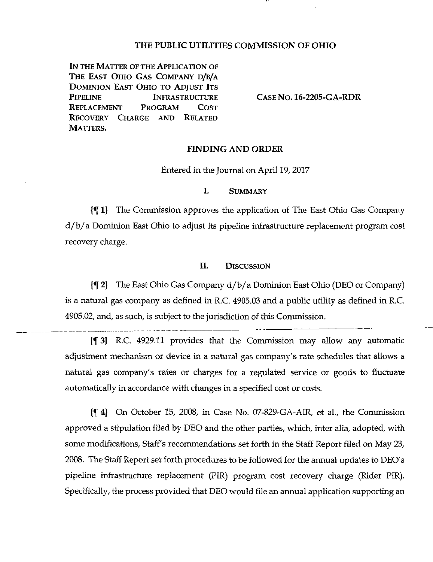### THE PUBLIC UTILITIES COMMISSION OF OHIO

IN THE MATTER OF THE APPLICATION OF THE EAST OHIO GAS COMPANY D/B/A DOMINION EAST OHIO TO ADJUST ITS PIPELINE INFRASTRUCTURE REPLACEMENT PROGRAM COST RECOVERY CHARGE AND RELATED MATTERS.

CASE No. 16-2205-GA-RDR

#### FINDING AND ORDER

Entered in the Journal on April 19, 2017

### I. SUMMARY

{f 1} The Commission approves the application of The East Ohio Gas Company d/b/ a Dominion East Ohio to adjust its pipeline infrastructure replacement program cost recovery charge.

# IL DISCUSSION

If 2} The East Ohio Gas Company d/b/ a Dominion East Ohio (DEO or Company) is a natural gas company as defined in R.C. 4905.03 and a public utility as defined in R.C. 4905.02, and, as such, is subject to the jurisdiction of this Commission.

If 3) R.C. 4929.11 provides that the Commission may allow any automatic adjustment mechanism or device in a natural gas company's rate schedules that allows a natural gas company's rates or charges for a regulated service or goods to fluctuate automatically in accordance with changes in a specified cost or costs.

If 4) On October 15, 2008, in Case No. 07-829-GA-AIR, et al., the Commission approved a stipulation filed by DEO and the other parties, which, inter alia, adopted, with some modifications, Staff's recommendations set forth in the Staff Report filed on May 23, 2008. The Staff Report set forth procedures to be followed for the annual updates to DEO's pipeline infrastructure replacement (PIR) program cost recovery charge (Rider PIR). Specifically, the process provided that DEO would file an armual application supporting an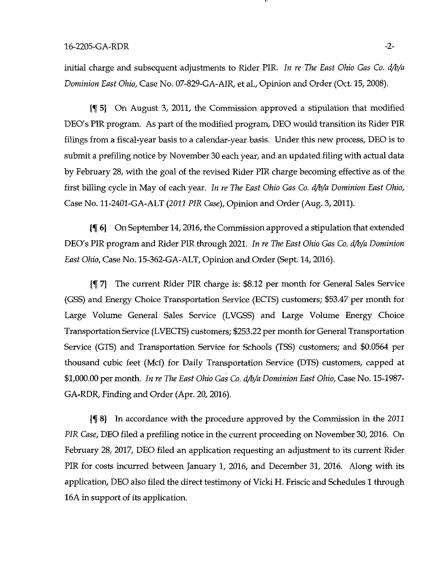initial charge and subsequent adjustments to Rider PIR. In re The East Ohio Gas Co. d/b/a Dominion East Ohio, Case No. 07-829-GA-AIR, et al.. Opinion and Order (Oct. 15, 2008).

If 5} On August 3, 2011, the Commission approved a stipulation that modified DEO's PIR program. As part of the modified program, DEO would transition its Rider PIR filings from a fiscal-year basis to a calendar-year basis. Under this new process, DEO is to submit a prefiling notice by November 30 each year, and an updated filing with actual data by February 28, with the goal of the revised Rider PIR charge becoming effective as of the first billing cycle in May of each year. In re The East Ohio Gas Co. d/b/a Dominion East Ohio, Case No. 11-2401-GA-ALT (2023 PIR Case), Opinion and Order (Aug. 3, 2011).

{f 6) On September 14,2016, the Commission approved a stipulation that extended DEO's PIR program and Rider PIR through 2021. In re The East Ohio Gas Co. d/b/a Dominion East Ohio, Case No. 15-362-GA-ALT, Opinion and Order (Sept, 14, 2016).

If 7) The current Rider PIR charge is: \$8.12 per month for General Sales Service (GSS) and Energy Choice Transportation Service (ECTS) customers; \$53.47 per month for Large Volume General Sales Service (LVGSS) and Large Volume Energy Choice Transportation Service (LVECTS) customers; \$253.22 per month for General Transportation Service (GTS) and Transportation Service for Schools (TSS) customers; and \$0.0564 per thousand cubic feet (Mcf) for Daily Transportation Service (DTS) customers, capped at \$1,000.00 per month. In re The East Ohio Gas Co. d/b/a Dominion East Ohio, Case No. 15-1987-GA-RDR, Finding and Order (Apr. 20, 2016).

{f 8) In accordance with the procedure approved by the Commission in the 2033 PIR Case, DEO filed a prefiling notice in the current proceeding on November 30, 2016. On February 28, 2017, DEO filed an application requesting an adjustment to its current Rider PIR for costs incurred between January 1, 2016, and December 31, 2016. Along with its application, DEO also filed the direct testimony of Vicki H. Friscic and Schedules 1 through 16A in support of its application.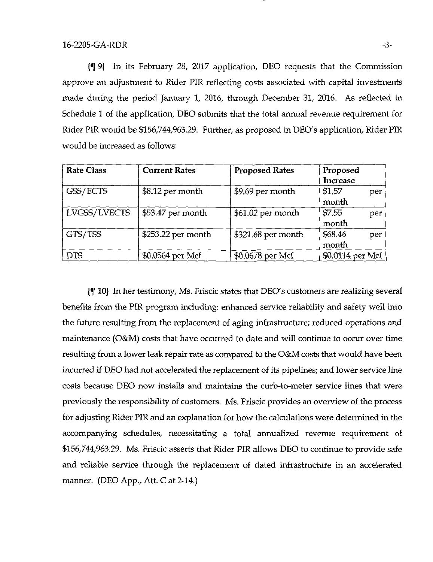If 9) In its February 28, 2017 application, DEO requests that the Commission approve an adjustment to Rider PIR reflecting costs associated with capital investments made during the period January 1, 2016, through December 31, 2016. As reflected in Schedule 1 of the application, DEO submits that the total annual revenue requirement for Rider PIR would be \$156,744,963.29. Further, as proposed in DEO's application. Rider PIR would be increased as follows:

| <b>Rate Class</b> | <b>Current Rates</b> | <b>Proposed Rates</b> | Proposed<br><b>Increase</b> |
|-------------------|----------------------|-----------------------|-----------------------------|
| GSS/ECTS          | \$8.12 per month     | \$9.69 per month      | \$1.57<br>per<br>month      |
| LVGSS/LVECTS      | \$53.47 per month    | \$61.02 per month     | \$7.55<br>per<br>month      |
| GTS/TSS           | \$253.22 per month   | \$321.68 per month    | \$68.46<br>per<br>month     |
| <b>DTS</b>        | \$0.0564 per Mcf     | \$0.0678 per Mcf      | \$0.0114 per Mcf            |

(f 10) In her testimony, Ms. Friscic states that DEO's customers are realizing several benefits from the PIR program including: enhanced service reliability and safety well into the future resulting from the replacement of aging infrastructure; reduced operations and maintenance (O&M) costs that have occurred to date and will continue to occur over time resulting from a lower leak repair rate as compared to the O&M costs that would have been incurred if DEO had not accelerated the replacement of its pipelines; and lower service line costs because DEO now installs and maintains the curb-to-meter service lines that were previously the responsibility of customers. Ms. Friscic provides an overview of the process for adjusting Rider PIR and an explanation for how the calculations were determined in the accompanying schedules, necessitating a total annualized revenue requirement of \$156,744,963.29. Ms. Friscic asserts that Rider PIR allows DEO to continue to provide safe and reliable service through the replacement of dated infrastructure in an accelerated manner. (DEO App., Att. C at 2-14.)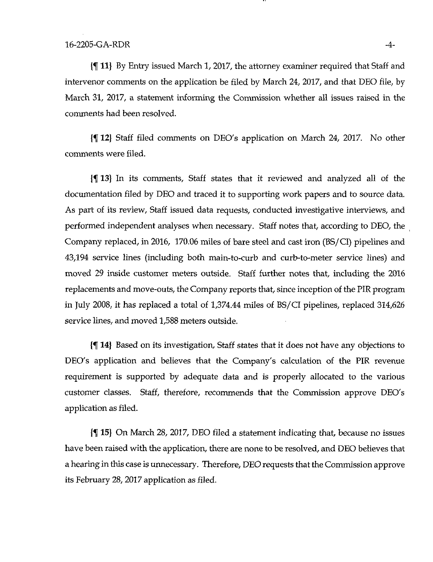If 11} By Entry issued March 1, 2017, the attorney examiner required that Staff and intervenor comments on the application be filed by March 24, 2017, and that DEO file, by March 31, 2017, a statement informing the Commission whether all issues raised in the comments had been resolved.

If 12) Staff filed comments on DEO's application on March 24, 2017. No other comments were filed.

If 13) In its comments. Staff states that it reviewed and analyzed all of the documentation filed by DEO and traced it to supporting work papers and to source data. As part of its review. Staff issued data requests, conducted investigative interviews, and performed independent analyses when necessary. Staff notes that, according to DEO, the Company replaced, in 2016, 170.06 miles of bare steel and cast iron (BS/CI) pipelines and 43,194 service lines (including both main-to-curb and curb-to-meter service lines) and moved 29 inside customer meters outside. Staff further notes that, including the 2016 replacements and move-outs, the Company reports that, since inception of the PIR program in July 2008, it has replaced a total of 1,374.44 miles of BS/CI pipelines, replaced 314,626 service lines, and moved 1,588 meters outside.

If 14} Based on its investigation. Staff states that it does not have any objections to DEO's application and believes that the Company's calculation of the PIR revenue requirement is supported by adequate data and is properly allocated to the various customer classes. Staff, therefore, recommends that the Commission approve DEO's application as filed.

If 15) On March 28, 2017, DEO filed a statement indicating that, because no issues have been raised with the application, there are none to be resolved, and DEO believes that a hearing in this case is unnecessary. Therefore, DEO requests that the Commission approve its February 28, 2017 application as filed.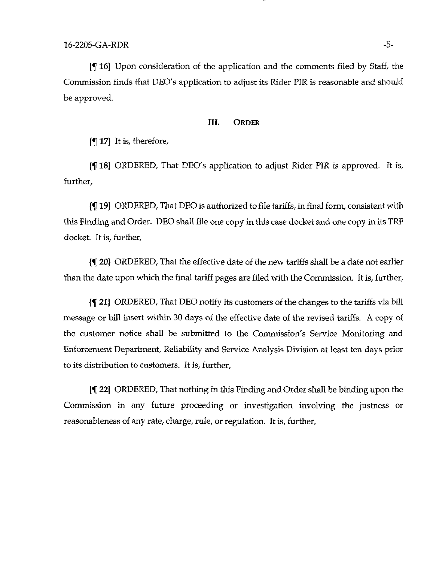$\{\P$  16) Upon consideration of the application and the comments filed by Staff, the Commission finds that DEO's application to adjust its Rider PIR is reasonable and should be approved.

## IIL ORDER

If 17} It is, therefore.

If 18) ORDERED, That DEO's application to adjust Rider PIR is approved. It is, further.

If 19) ORDERED, That DEO is authorized to file tariffs, in final form, consistent with this Finding and Order. DEO shall file one copy in this case docket and one copy in its TRF docket. It is, further.

If 20) ORDERED, That the effective date of the new tariffs shall be a date not earlier than the date upon which the final tariff pages are filed with the Commission. It is, further,

If 21) ORDERED, That DEO notify its customers of the changes to the tariffs via bill message or bill insert within 30 days of the effective date of the revised tariffs. A copy of the customer notice shall be submitted to the Commission's Service Monitoring and Enforcement Department, Reliability and Service Analysis Division at least ten days prior to its distribution to customers. It is, further.

If 22} ORDERED, That nothing in this Finding and Order shall be binding upon the Commission in any future proceeding or investigation involving the justness or reasonableness of any rate, charge, rule, or regulation. It is, further.